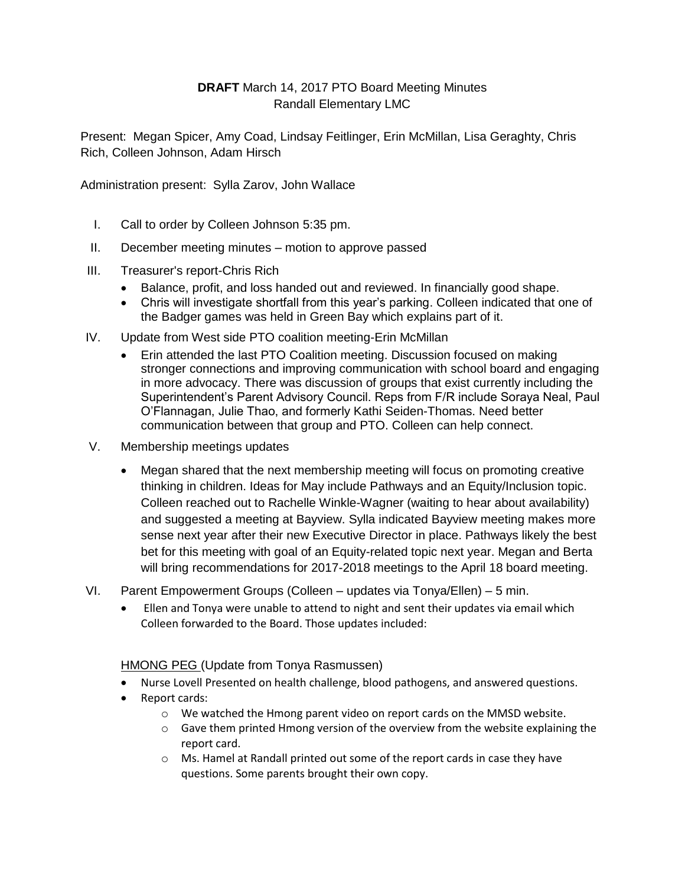## **DRAFT** March 14, 2017 PTO Board Meeting Minutes Randall Elementary LMC

Present: Megan Spicer, Amy Coad, Lindsay Feitlinger, Erin McMillan, Lisa Geraghty, Chris Rich, Colleen Johnson, Adam Hirsch

Administration present: Sylla Zarov, John Wallace

- I. Call to order by Colleen Johnson 5:35 pm.
- II. December meeting minutes motion to approve passed
- III. Treasurer's report-Chris Rich
	- Balance, profit, and loss handed out and reviewed. In financially good shape.
	- Chris will investigate shortfall from this year's parking. Colleen indicated that one of the Badger games was held in Green Bay which explains part of it.
- IV. Update from West side PTO coalition meeting-Erin McMillan
	- Erin attended the last PTO Coalition meeting. Discussion focused on making stronger connections and improving communication with school board and engaging in more advocacy. There was discussion of groups that exist currently including the Superintendent's Parent Advisory Council. Reps from F/R include Soraya Neal, Paul O'Flannagan, Julie Thao, and formerly Kathi Seiden-Thomas. Need better communication between that group and PTO. Colleen can help connect.
- V. Membership meetings updates
	- Megan shared that the next membership meeting will focus on promoting creative thinking in children. Ideas for May include Pathways and an Equity/Inclusion topic. Colleen reached out to Rachelle Winkle-Wagner (waiting to hear about availability) and suggested a meeting at Bayview. Sylla indicated Bayview meeting makes more sense next year after their new Executive Director in place. Pathways likely the best bet for this meeting with goal of an Equity-related topic next year. Megan and Berta will bring recommendations for 2017-2018 meetings to the April 18 board meeting.
- VI. Parent Empowerment Groups (Colleen updates via Tonya/Ellen) 5 min.
	- Ellen and Tonya were unable to attend to night and sent their updates via email which Colleen forwarded to the Board. Those updates included:

## HMONG PEG (Update from Tonya Rasmussen)

- Nurse Lovell Presented on health challenge, blood pathogens, and answered questions.
- Report cards:
	- o We watched the Hmong parent video on report cards on the MMSD website.
	- $\circ$  Gave them printed Hmong version of the overview from the website explaining the report card.
	- o Ms. Hamel at Randall printed out some of the report cards in case they have questions. Some parents brought their own copy.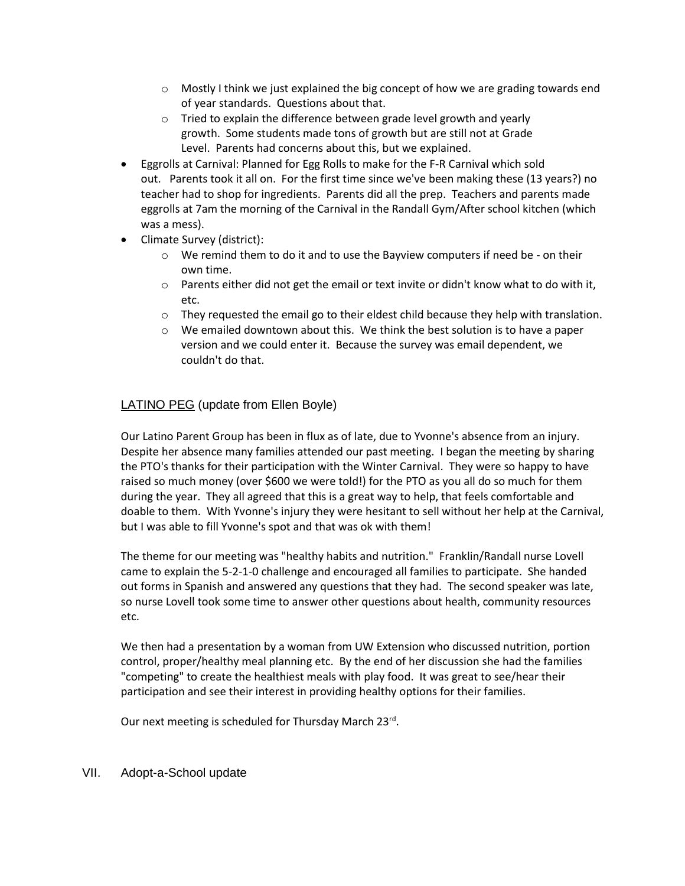- $\circ$  Mostly I think we just explained the big concept of how we are grading towards end of year standards. Questions about that.
- o Tried to explain the difference between grade level growth and yearly growth. Some students made tons of growth but are still not at Grade Level. Parents had concerns about this, but we explained.
- Eggrolls at Carnival: Planned for Egg Rolls to make for the F-R Carnival which sold out. Parents took it all on. For the first time since we've been making these (13 years?) no teacher had to shop for ingredients. Parents did all the prep. Teachers and parents made eggrolls at 7am the morning of the Carnival in the Randall Gym/After school kitchen (which was a mess).
- Climate Survey (district):
	- $\circ$  We remind them to do it and to use the Bayview computers if need be on their own time.
	- $\circ$  Parents either did not get the email or text invite or didn't know what to do with it, etc.
	- $\circ$  They requested the email go to their eldest child because they help with translation.
	- $\circ$  We emailed downtown about this. We think the best solution is to have a paper version and we could enter it. Because the survey was email dependent, we couldn't do that.

## LATINO PEG (update from Ellen Boyle)

Our Latino Parent Group has been in flux as of late, due to Yvonne's absence from an injury. Despite her absence many families attended our past meeting. I began the meeting by sharing the PTO's thanks for their participation with the Winter Carnival. They were so happy to have raised so much money (over \$600 we were told!) for the PTO as you all do so much for them during the year. They all agreed that this is a great way to help, that feels comfortable and doable to them. With Yvonne's injury they were hesitant to sell without her help at the Carnival, but I was able to fill Yvonne's spot and that was ok with them!

The theme for our meeting was "healthy habits and nutrition." Franklin/Randall nurse Lovell came to explain the 5-2-1-0 challenge and encouraged all families to participate. She handed out forms in Spanish and answered any questions that they had. The second speaker was late, so nurse Lovell took some time to answer other questions about health, community resources etc.

We then had a presentation by a woman from UW Extension who discussed nutrition, portion control, proper/healthy meal planning etc. By the end of her discussion she had the families "competing" to create the healthiest meals with play food. It was great to see/hear their participation and see their interest in providing healthy options for their families.

Our next meeting is scheduled for Thursday March 23rd.

VII. Adopt-a-School update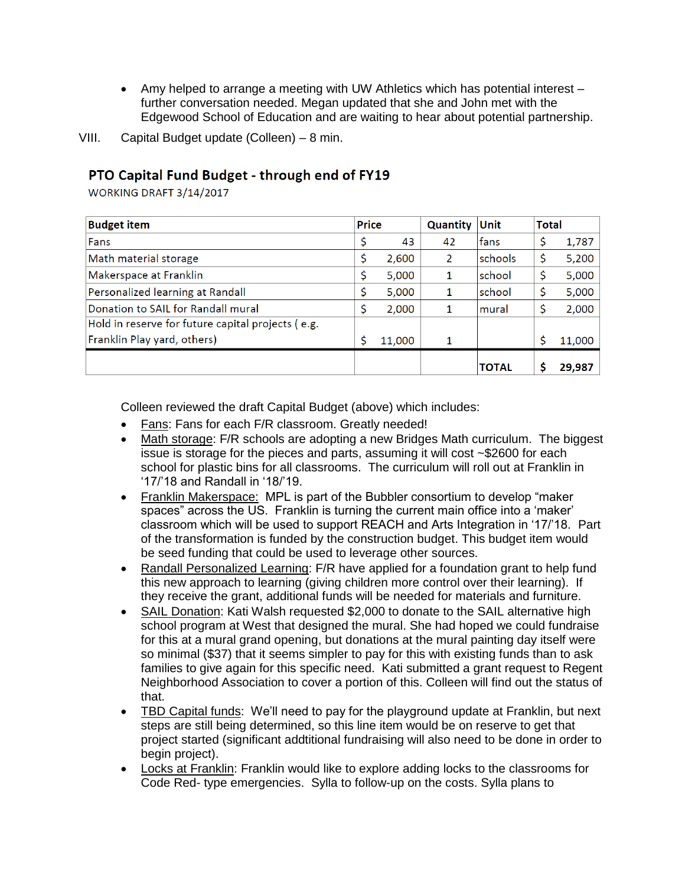- Amy helped to arrange a meeting with UW Athletics which has potential interest further conversation needed. Megan updated that she and John met with the Edgewood School of Education and are waiting to hear about potential partnership.
- VIII. Capital Budget update (Colleen) 8 min.

## PTO Capital Fund Budget - through end of FY19

WORKING DRAFT 3/14/2017

| <b>Budget item</b>                                | <b>Price</b> |        | <b>Quantity</b> | Unit    | <b>Total</b> |        |
|---------------------------------------------------|--------------|--------|-----------------|---------|--------------|--------|
| Fans                                              | \$           | 43     | 42              | lfans   | \$           | 1,787  |
| Math material storage                             | \$           | 2,600  | $\mathcal{P}$   | schools | \$           | 5,200  |
| Makerspace at Franklin                            | \$           | 5,000  |                 | school  | \$           | 5,000  |
| Personalized learning at Randall                  | \$           | 5,000  |                 | school  | \$           | 5,000  |
| Donation to SAIL for Randall mural                | \$           | 2,000  |                 | mural   | \$           | 2,000  |
| Hold in reserve for future capital projects (e.g. |              |        |                 |         |              |        |
| Franklin Play yard, others)                       | \$           | 11,000 |                 |         | Ś            | 11,000 |
|                                                   |              |        |                 | ΤΟΤΑΙ   |              | 29,987 |

Colleen reviewed the draft Capital Budget (above) which includes:

- Fans: Fans for each F/R classroom. Greatly needed!
- Math storage: F/R schools are adopting a new Bridges Math curriculum. The biggest issue is storage for the pieces and parts, assuming it will cost ~\$2600 for each school for plastic bins for all classrooms. The curriculum will roll out at Franklin in '17/'18 and Randall in '18/'19.
- Franklin Makerspace: MPL is part of the Bubbler consortium to develop "maker" spaces" across the US. Franklin is turning the current main office into a 'maker' classroom which will be used to support REACH and Arts Integration in '17/'18. Part of the transformation is funded by the construction budget. This budget item would be seed funding that could be used to leverage other sources.
- Randall Personalized Learning: F/R have applied for a foundation grant to help fund this new approach to learning (giving children more control over their learning). If they receive the grant, additional funds will be needed for materials and furniture.
- SAIL Donation: Kati Walsh requested \$2,000 to donate to the SAIL alternative high school program at West that designed the mural. She had hoped we could fundraise for this at a mural grand opening, but donations at the mural painting day itself were so minimal (\$37) that it seems simpler to pay for this with existing funds than to ask families to give again for this specific need. Kati submitted a grant request to Regent Neighborhood Association to cover a portion of this. Colleen will find out the status of that.
- TBD Capital funds: We'll need to pay for the playground update at Franklin, but next steps are still being determined, so this line item would be on reserve to get that project started (significant addtitional fundraising will also need to be done in order to begin project).
- Locks at Franklin: Franklin would like to explore adding locks to the classrooms for Code Red- type emergencies. Sylla to follow-up on the costs. Sylla plans to